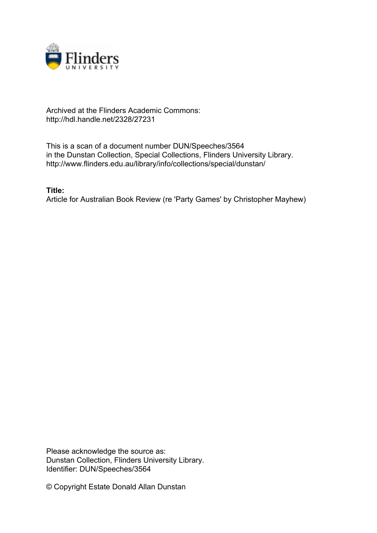

## Archived at the Flinders Academic Commons: http://hdl.handle.net/2328/27231

This is a scan of a document number DUN/Speeches/3564 in the Dunstan Collection, Special Collections, Flinders University Library. http://www.flinders.edu.au/library/info/collections/special/dunstan/

**Title:**

Article for Australian Book Review (re 'Party Games' by Christopher Mayhew)

Please acknowledge the source as: Dunstan Collection, Flinders University Library. Identifier: DUN/Speeches/3564

© Copyright Estate Donald Allan Dunstan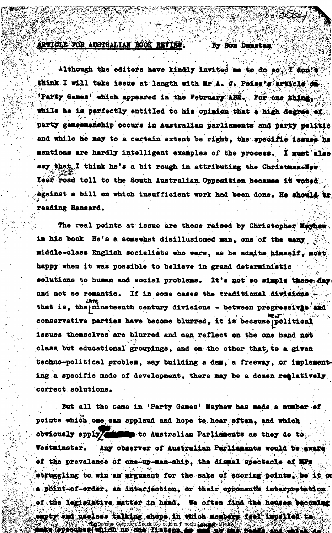**ARTICLE FOR AUSTRALIAN BOOK REVIEW. By Don Dunstan** 

*, t :* 

**. jt •,** 

Although the editors have kindly invited me to do so, I don't think I will take issue at length with Mr A. J. Poise's article on Party Games' which appeared in the February ABR. For one thing. while he is perfectly entitled to his opinion that a high degree of **party gamesmanship occurs in Australian parliaments and party politic**  and while he may to a certain extent be right, the specific issues he mentions are hardly intelligent examples of the process. I must also say that I think he's a bit rough in attributing the Christmas-New **Tear road toll to the South Australian Opposition because it •oteC**  against a bill on which insufficient work had been done. He should tr **reading Hansard. > n"** 

**•V\*- '• , . •.'••'.** *t ' • • •* **,. . . " '»• , \ . . ... - {•!." V-r'..** 

The real points at issue are those raised by Christopher Mayhew **in his book He's a somewhat disillusioned man, one of the middle-class English socialists who were, as he admits himself, most**  happy when it was possible to believe in grand deterministic solutions to human and social problems. It's not so simple these day: **and not so romantic. If in some cases the traditional dlviaicna urre that is, thejnineteenth century divisions - between progr«ss±v|eand conservative parties have become blurred, it is becausejpolitical issues themselves are blurred and can reflect on the one hand not class but educational groupings, and oh the other that,to a given**  techno-political problem, say building a dam, a freeway, or implement. **ing.a specific mode of development, there may be a dosen relatively correct solutions.** 

**But all the same in 'Party Games' Mayhew has made a number of points which one, can applaud and hope to hear often, and which**  obviously apply/**sflutted** to Australian Parliaments as they do to **Westminster.** Any observer of Australian Parliaments would be aware of the prevalence of one-up-man-ship, the dismal spectacle of MPs struggling to win an argument for the sake of scoring points. be it on a pbint-of-order, an interjection, or their opponents interpretation of the legislative matter in hand. We often find the houses becoming empty and useless talking shops in which members feel impelled to **Dunstan Collection, Special Collections, Flinders University Library.<br>2003. Apeochool whiteh no cone library. As the notion of the special and the special conditions.**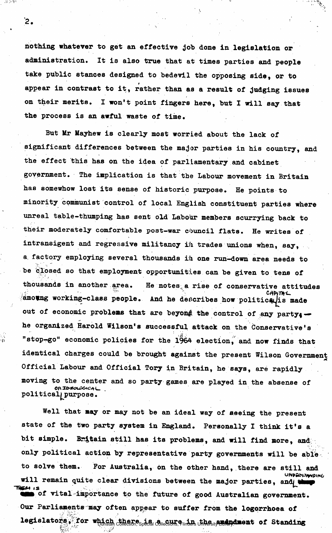**nothing whatever to get an effective job done in legislation or administration. It is also true that at times parties and people take public stances designed to bedevil the opposing side, or to**  *9*  **appear in contrast to it, rather than as a result of judging issues on their merits. I won't point fingers here, but I will say that the process is an awful waste of time.** 

 $\mathbb{R}^n$ 

**But Mr Mayhew is clearly most worried about the lack of significant differences between the major parties in his country, and the effect this has on the idea of parliamentary and cabinet government. The implication is that the Labour movement in Britain has somewhow lost its sense of historic purpose. He points to minority communist control of local English constituent parties where unreal table-thumping has sent old Labour members scurrying back to their moderately comfortable post-war council flats. He writes of intransigent and regressive militancy ih trades unions when, say, a factory employing several thousands ih one run-down area needs to be closed so that employment opportunities can be given to tens of thousands in another area. He notes.a rise of conservative attitudes**  CADITAL amoung working-class people. And he describes how politicalis made out of economic problems that are beyond the control of any party<sub>4</sub> **he organized Harold Wilson's successful attack on the Conservative's**  "stop-go" economic policies for the 1964 election, and now finds that **identical charges could be brought against the present Wilson Government Official Labour and Official Tory in Britain, he says, are rapidly moving to the center and so party games are played in the absense of OR IDEOLOGICAL politicaljjpurpose.** 

Well that may or may not be an ideal way of seeing the present **state of the two party system in England. Personally I think it's a bit simple. Britain still has its problems, and will find more, and only political action by representative party governments will be abla to solve them. For Australia, on the other hand, there are still and**  will remain quite clear divisions between the major parties, and the set of the set of the set of the set of the set of the set of the set of the set of the set of the set of the set of the set of the set of the set of the of vital importance to the future of good Australian government. Our Parlianents may often appear to suffer from the logorrhoea of **Our Parliaments may often appear to suffer from the logorrhoea of legislators and a cure in the american** Collections, Flinders University Library. **During of Standing and Standing**<br>March 2008 and the amendment of Special Collections, Flinders University Library. **During the Standing of** 

 $\mathbf{2.}$ 

- 15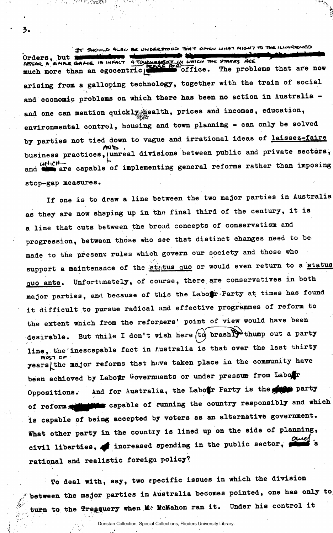IT SHOULD 4LSO BE UNDERSTOOD THAT OPTEN WHAT MIGHT TO THE ILLINGORIAED Orders, but **we well down** much more than an egocentric **dimenses** office. The problems that are now **arising from a galloping technology, together with the train of social and economic problems on which there has been no action in Australia**  and one can mention quickly health, prices and incomes, education, **environmental control, housing and town planning - can only be solved by parties not tied down to vague and irrational ideas of laissez-faire**  business practices, unreal divisions between public and private sectors; and  $\overbrace{\bullet}^{\text{left} \text{left} \text{left}$  $\int$  **are capable of implementing general reforms rather than imposing stop-gap measures.** 

**i\*** 

**If one is to draw a line between the two major parties in Australia as they are now shaping up in tho final third of the century, it is a line that cuts between the broad concepts of conservatism and progression, between those who see that distinct changes need to be made to the present rules which govern our society and those who**  support a maintenance of the status quo or would even return to a status **quo ante. Unfortunately, of course, there are conservatives in both major parties, and because of this the Labofr Party at times has found it difficult to pursue radical and effective programmes of reform to the extent which from the reformers' point of view would have been**  desirable. But while I don't wish here (to brashly thump out a party **line, the inescapable fact in Australia is that over the last thirty ivosi or .. , yearsjthe major reforms that hnve taken place in the community have**  been achieved by Labour Governments or under pressue from Labour **Oppositions.** And for Australia, the Labotr Party is the **property** of reform **solution** capable of running the country responsibly and which **is capable of being accepted by voters as an alternative government. What other party in the country is lined up on the side of planning,**  civil liberties, increased spending in the public sector,  $\frac{1}{2}$  a rational and realistic foreign policy?

To deal with, say, two specific issues in which the division between the major parties in Australia becomes pointed, one has only to **between the major parties in Australia becomes pointed, one has only to**  *<sup>A</sup>* ,

Dunstan Collection, Special Collections, Flinders University Library.

**turn to. the Trea^uery when M? McMahon ran it. Under his control it** 

**3.** 

ිවි<sup>ද</sup>ි විදිහිමුද්ධිවි

*if'.*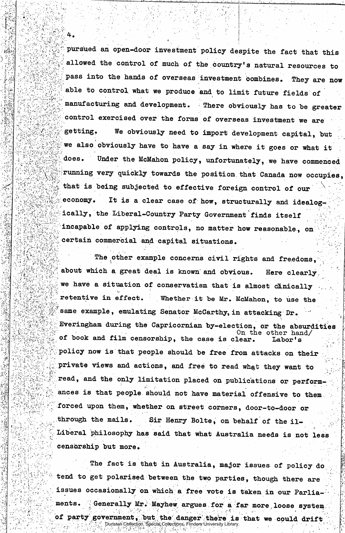**pursued an open-door investment policy despite the fact that this allowed the control of much of the country's natural resources to i pass into the hands of overseas investment oombines. They are now •abl e to control what we produce and to limit future fields of manufacturing and development. There obviously has to be greater**  control exercised over the forms of overseas investment we are **getting. We obviously need to import development capital, but**  we also obviously have to have a say in where it goes or what it **does. Under the McMahon policy, unfortunately, we have commenced**  running very quickly towards the position that Canada now occupies, that is being subjected to effective foreign control of our **if** is a clear case of how, structurelly and idealer ically, the Liberal-Country Party Government finds itself **• ically, the Liberal-Country Party Government finds itself • • incapable of applying controls, no matter how reasonable , on ^certain commercial and capital situations.** 

The other example concerns civil rights and freedoms, **about which a great deal is known and obvious. Here clearly,**  we have a situation of conservatism that is almost clinically **retentive in effect. Whether it be Mr. McMahon, to use the**  same example, emulating Senator McCarthy, in attacking Dr. **: Everingham during the Capricornian by-election, or the absurdities**   $\Omega$  on the other hand/ **• of book and film censorship, the case is clear. Labor's .policy now is that people should be free from attacks on their [private views and actions, and free to read what they want to**  read, and the only limitation placed on publications or perform**ances is that people should not have material offensive to them forced upon them, whether on street corners, door-to-door or through the mails. Sir Henry Bolte, on behalf of the il-Liberal philosophy has said that what Australia needs is not less censorship but more.** 

**The fact is that in Australia, major issues of policy do tend to get polarised between the two parties, though there are issues occasionally on which a free vote is taken in our Parliaments. Generally Mr. Mayhew argues for a far more loose system**  of party government, but the danger there is that we could drift Dunstan Collection, Special Collections, Flinders University Library.

**gi**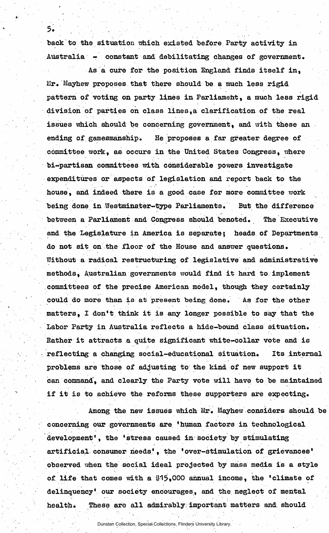back to the situation which existed before Party activity in Australia - constant and debilitating changes of government.

5.

As a cure for the position England finds itself in,  $Mr.$  Mayhew proposes that there should be a much less rigid pattern of voting on party lines in Parliament, a much less rigid division of parties on class lines,a clarification of the real issues which should be concerning government, and with these an ending of gamesmanship. He proposes a far greater degree of committee work, as occurs in the United States Congress, where bi-partisan committees with considerable powers investigate expenditures or aspects of legislation and report back to the house, and indeed there is a good case for more committee work being done in Westminster-type Parliaments. But the difference between a Parliament and Congress should benoted. The Executive and the Legislature in America is separate; heads of Departments do not sit on the floor of the House and answer questions. Without a radical restructuring of legislative and administrative methods, Australian governments would find it hard to implement committees of the precise American model, though they certainly could do more than is at present being done. As for the other matters, I don't think it is any longer possible to say that the Labor Party in Australia reflects a hide-bound class situation. Rather it attracts a quite significant white-collar vote and is reflecting a changing social-educational situation. Its internal problems are those of adjusting to the kind of new support it Can command', and clearly the Party vote will have to be maintained if it is to achieve the reforms these supporters are expecting.

Among the new issues which Mr. Mayhew considers should be concerning our governments are 'human factors in technological development', the 'stress caused in society by stimulating artificial, consumer heeds' , the \* over-stimulation of grievances' observed when the social ideal projected by mass media is a style of life that comes with a \$15,000 annual income, the 'climate of delinquency' our society encourages, and the neglect of mental health. These are all admirably important matters and should

Dunstan Collection, Special Collections, Flinders University Library.